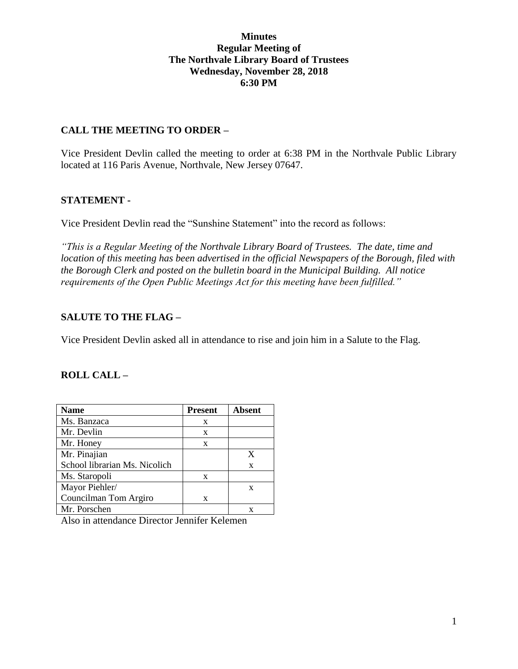#### **Minutes Regular Meeting of The Northvale Library Board of Trustees Wednesday, November 28, 2018 6:30 PM**

## **CALL THE MEETING TO ORDER –**

Vice President Devlin called the meeting to order at 6:38 PM in the Northvale Public Library located at 116 Paris Avenue, Northvale, New Jersey 07647.

# **STATEMENT -**

Vice President Devlin read the "Sunshine Statement" into the record as follows:

*"This is a Regular Meeting of the Northvale Library Board of Trustees. The date, time and location of this meeting has been advertised in the official Newspapers of the Borough, filed with the Borough Clerk and posted on the bulletin board in the Municipal Building. All notice requirements of the Open Public Meetings Act for this meeting have been fulfilled."* 

# **SALUTE TO THE FLAG –**

Vice President Devlin asked all in attendance to rise and join him in a Salute to the Flag.

## **ROLL CALL –**

| <b>Name</b>                   | <b>Present</b> | <b>Absent</b> |
|-------------------------------|----------------|---------------|
| Ms. Banzaca                   | X              |               |
| Mr. Devlin                    | X              |               |
| Mr. Honey                     | X              |               |
| Mr. Pinajian                  |                | X             |
| School librarian Ms. Nicolich |                | X             |
| Ms. Staropoli                 | X              |               |
| Mayor Piehler/                |                | X             |
| Councilman Tom Argiro         | X              |               |
| Mr. Porschen                  |                |               |

Also in attendance Director Jennifer Kelemen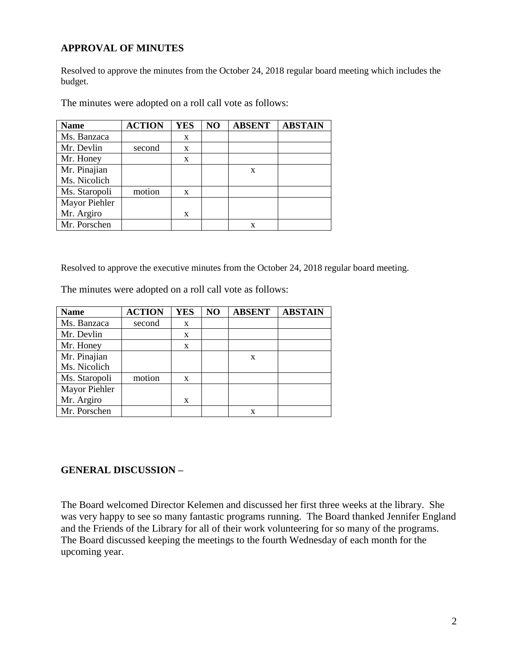#### **APPROVAL OF MINUTES**

Resolved to approve the minutes from the October 24, 2018 regular board meeting which includes the budget.

| <b>Name</b>   | <b>ACTION</b> | <b>YES</b> | NO | <b>ABSENT</b> | <b>ABSTAIN</b> |
|---------------|---------------|------------|----|---------------|----------------|
| Ms. Banzaca   |               | X          |    |               |                |
| Mr. Devlin    | second        | X          |    |               |                |
| Mr. Honey     |               | X          |    |               |                |
| Mr. Pinajian  |               |            |    | X             |                |
| Ms. Nicolich  |               |            |    |               |                |
| Ms. Staropoli | motion        | X          |    |               |                |
| Mayor Piehler |               |            |    |               |                |
| Mr. Argiro    |               | X          |    |               |                |
| Mr. Porschen  |               |            |    | X             |                |

The minutes were adopted on a roll call vote as follows:

Resolved to approve the executive minutes from the October 24, 2018 regular board meeting.

The minutes were adopted on a roll call vote as follows:

| <b>Name</b>   | <b>ACTION</b> | <b>YES</b>   | NO | <b>ABSENT</b> | <b>ABSTAIN</b> |
|---------------|---------------|--------------|----|---------------|----------------|
| Ms. Banzaca   | second        | X            |    |               |                |
| Mr. Devlin    |               | X            |    |               |                |
| Mr. Honey     |               | $\mathbf{x}$ |    |               |                |
| Mr. Pinajian  |               |              |    | X             |                |
| Ms. Nicolich  |               |              |    |               |                |
| Ms. Staropoli | motion        | $\mathbf{x}$ |    |               |                |
| Mayor Piehler |               |              |    |               |                |
| Mr. Argiro    |               | X            |    |               |                |
| Mr. Porschen  |               |              |    |               |                |

#### **GENERAL DISCUSSION –**

The Board welcomed Director Kelemen and discussed her first three weeks at the library. She was very happy to see so many fantastic programs running. The Board thanked Jennifer England and the Friends of the Library for all of their work volunteering for so many of the programs. The Board discussed keeping the meetings to the fourth Wednesday of each month for the upcoming year.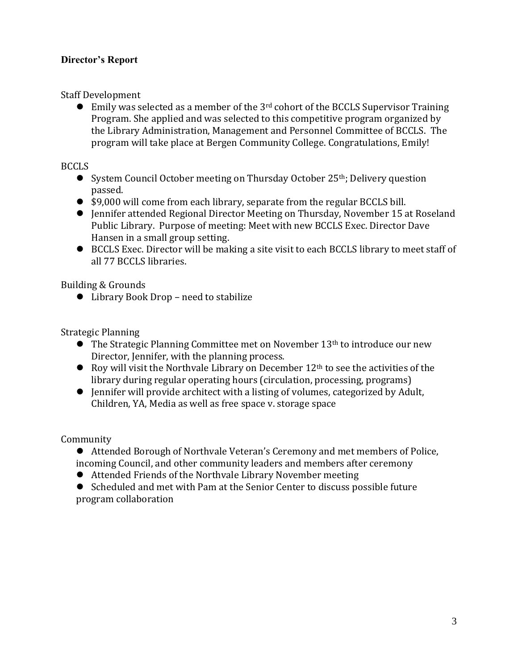# **Director's Report**

Staff Development

 $\bullet$  Emily was selected as a member of the 3<sup>rd</sup> cohort of the BCCLS Supervisor Training Program. She applied and was selected to this competitive program organized by the Library Administration, Management and Personnel Committee of BCCLS. The program will take place at Bergen Community College. Congratulations, Emily!

## BCCLS

- System Council October meeting on Thursday October 25<sup>th</sup>; Delivery question passed.
- \$9,000 will come from each library, separate from the regular BCCLS bill.
- Jennifer attended Regional Director Meeting on Thursday, November 15 at Roseland Public Library. Purpose of meeting: Meet with new BCCLS Exec. Director Dave Hansen in a small group setting.
- BCCLS Exec. Director will be making a site visit to each BCCLS library to meet staff of all 77 BCCLS libraries.

Building & Grounds

● Library Book Drop – need to stabilize

Strategic Planning

- $\bullet$  The Strategic Planning Committee met on November 13<sup>th</sup> to introduce our new Director, Jennifer, with the planning process.
- Roy will visit the Northvale Library on December  $12<sup>th</sup>$  to see the activities of the library during regular operating hours (circulation, processing, programs)
- Jennifer will provide architect with a listing of volumes, categorized by Adult, Children, YA, Media as well as free space v. storage space

Community

 Attended Borough of Northvale Veteran's Ceremony and met members of Police, incoming Council, and other community leaders and members after ceremony

Attended Friends of the Northvale Library November meeting

 Scheduled and met with Pam at the Senior Center to discuss possible future program collaboration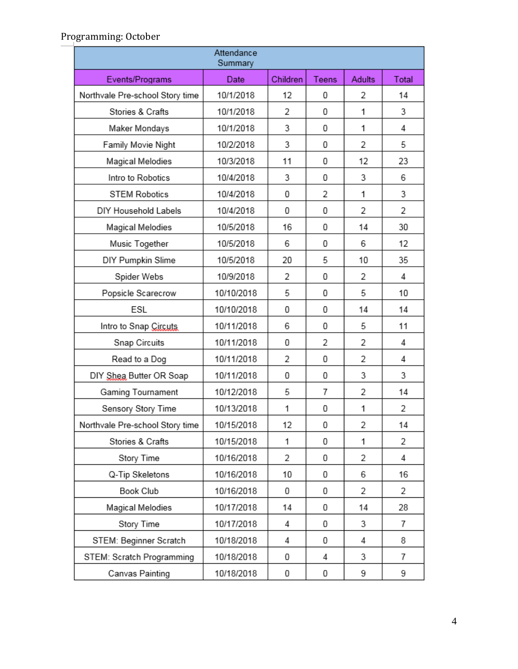| Attendance<br>Summary           |            |          |       |        |       |  |
|---------------------------------|------------|----------|-------|--------|-------|--|
| Events/Programs                 | Date       | Children | Teens | Adults | Total |  |
| Northvale Pre-school Story time | 10/1/2018  | 12       | 0     | 2      | 14    |  |
| Stories & Crafts                | 10/1/2018  | 2        | 0     | 1      | 3     |  |
| Maker Mondays                   | 10/1/2018  | 3        | 0     | 1      | 4     |  |
| Family Movie Night              | 10/2/2018  | 3        | 0     | 2      | 5     |  |
| Magical Melodies                | 10/3/2018  | 11       | 0     | 12     | 23    |  |
| Intro to Robotics               | 10/4/2018  | 3        | 0     | 3      | 6     |  |
| <b>STEM Robotics</b>            | 10/4/2018  | 0        | 2     | 1      | 3     |  |
| DIY Household Labels            | 10/4/2018  | 0        | 0     | 2      | 2     |  |
| Magical Melodies                | 10/5/2018  | 16       | 0     | 14     | 30    |  |
| Music Together                  | 10/5/2018  | 6        | 0     | 6      | 12    |  |
| DIY Pumpkin Slime               | 10/5/2018  | 20       | 5     | 10     | 35    |  |
| Spider Webs                     | 10/9/2018  | 2        | 0     | 2      | 4     |  |
| Popsicle Scarecrow              | 10/10/2018 | 5        | 0     | 5      | 10    |  |
| ESL                             | 10/10/2018 | 0        | 0     | 14     | 14    |  |
| Intro to Snap Circuts           | 10/11/2018 | 6        | 0     | 5      | 11    |  |
| Snap Circuits                   | 10/11/2018 | 0        | 2     | 2      | 4     |  |
| Read to a Dog                   | 10/11/2018 | 2        | 0     | 2      | 4     |  |
| DIY Shea Butter OR Soap         | 10/11/2018 | 0        | 0     | 3      | 3     |  |
| Gaming Tournament               | 10/12/2018 | 5        | 7     | 2      | 14    |  |
| Sensory Story Time              | 10/13/2018 | 1        | 0     | 1      | 2     |  |
| Northvale Pre-school Story time | 10/15/2018 | 12       | 0     | 2      | 14    |  |
| Stories & Crafts                | 10/15/2018 | 1        | 0     | 1      | 2     |  |
| Story Time                      | 10/16/2018 | 2        | 0     | 2      | 4     |  |
| Q-Tip Skeletons                 | 10/16/2018 | 10       | 0     | 6      | 16    |  |
| Book Club                       | 10/16/2018 | 0        | 0     | 2      | 2     |  |
| Magical Melodies                | 10/17/2018 | 14       | 0     | 14     | 28    |  |
| Story Time                      | 10/17/2018 | 4        | 0     | 3      | 7     |  |
| STEM: Beginner Scratch          | 10/18/2018 | 4        | 0     | 4      | 8     |  |
| STEM: Scratch Programming       | 10/18/2018 | 0        | 4     | 3      | 7     |  |
| Canvas Painting                 | 10/18/2018 | 0        | 0     | 9      | 9     |  |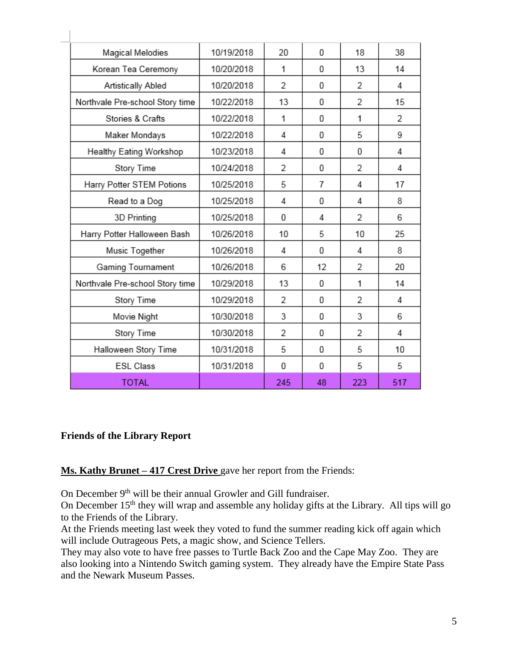| Magical Melodies                | 10/19/2018 | 20  | 0  | 18             | 38  |
|---------------------------------|------------|-----|----|----------------|-----|
| Korean Tea Ceremony             | 10/20/2018 | 1   | 0  | 13             | 14  |
| Artistically Abled              | 10/20/2018 | 2   | 0  | 2              | 4   |
| Northvale Pre-school Story time | 10/22/2018 | 13  | 0  | 2              | 15  |
| Stories & Crafts                | 10/22/2018 | 1   | 0  | 1              | 2   |
| Maker Mondays                   | 10/22/2018 | 4   | 0  | 5              | 9   |
| Healthy Eating Workshop         | 10/23/2018 | 4   | 0  | 0              | 4   |
| Story Time                      | 10/24/2018 | 2   | 0  | 2              | 4   |
| Harry Potter STEM Potions       | 10/25/2018 | 5   | 7  | 4              | 17  |
| Read to a Dog                   | 10/25/2018 | 4   | 0  | 4              | 8   |
| 3D Printing                     | 10/25/2018 | 0   | 4  | 2              | 6   |
| Harry Potter Halloween Bash     | 10/26/2018 | 10  | 5  | 10             | 25  |
| Music Together                  | 10/26/2018 | 4   | 0  | 4              | 8   |
| Gaming Tournament               | 10/26/2018 | 6   | 12 | 2              | 20  |
| Northvale Pre-school Story time | 10/29/2018 | 13  | 0  | 1              | 14  |
| Story Time                      | 10/29/2018 | 2   | 0  | $\overline{2}$ | 4   |
| Movie Night                     | 10/30/2018 | 3   | 0  | 3              | 6   |
| Story Time                      | 10/30/2018 | 2   | 0  | 2              | 4   |
| Halloween Story Time            | 10/31/2018 | 5   | 0  | 5              | 10  |
| <b>ESL Class</b>                | 10/31/2018 | 0   | 0  | 5              | 5   |
| <b>TOTAL</b>                    |            | 245 | 48 | 223            | 517 |

## **Friends of the Library Report**

# **Ms. Kathy Brunet – 417 Crest Drive** gave her report from the Friends:

On December 9<sup>th</sup> will be their annual Growler and Gill fundraiser.

On December 15<sup>th</sup> they will wrap and assemble any holiday gifts at the Library. All tips will go to the Friends of the Library.

At the Friends meeting last week they voted to fund the summer reading kick off again which will include Outrageous Pets, a magic show, and Science Tellers.

They may also vote to have free passes to Turtle Back Zoo and the Cape May Zoo. They are also looking into a Nintendo Switch gaming system. They already have the Empire State Pass and the Newark Museum Passes.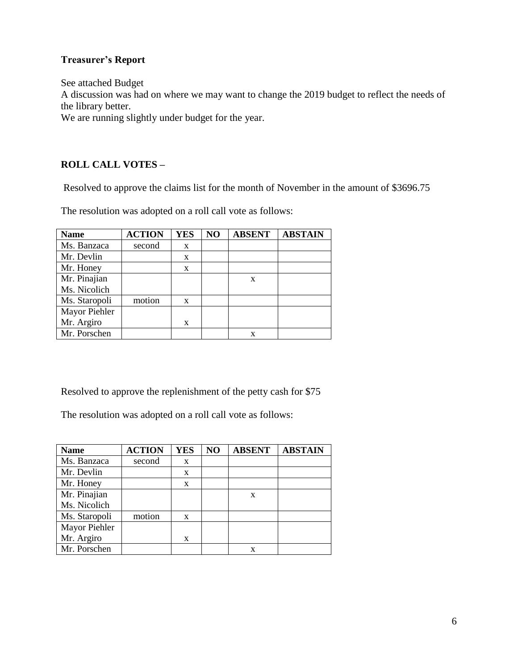## **Treasurer's Report**

See attached Budget A discussion was had on where we may want to change the 2019 budget to reflect the needs of the library better.

We are running slightly under budget for the year.

# **ROLL CALL VOTES –**

Resolved to approve the claims list for the month of November in the amount of \$3696.75

The resolution was adopted on a roll call vote as follows:

| <b>Name</b>   | <b>ACTION</b> | <b>YES</b> | NO | <b>ABSENT</b> | <b>ABSTAIN</b> |
|---------------|---------------|------------|----|---------------|----------------|
| Ms. Banzaca   | second        | X          |    |               |                |
| Mr. Devlin    |               | X          |    |               |                |
| Mr. Honey     |               | X          |    |               |                |
| Mr. Pinajian  |               |            |    | X             |                |
| Ms. Nicolich  |               |            |    |               |                |
| Ms. Staropoli | motion        | X          |    |               |                |
| Mayor Piehler |               |            |    |               |                |
| Mr. Argiro    |               | X          |    |               |                |
| Mr. Porschen  |               |            |    | X             |                |

Resolved to approve the replenishment of the petty cash for \$75

The resolution was adopted on a roll call vote as follows:

| <b>Name</b>   | <b>ACTION</b> | <b>YES</b> | NO | <b>ABSENT</b> | <b>ABSTAIN</b> |
|---------------|---------------|------------|----|---------------|----------------|
| Ms. Banzaca   | second        | X          |    |               |                |
| Mr. Devlin    |               | X          |    |               |                |
| Mr. Honey     |               | X          |    |               |                |
| Mr. Pinajian  |               |            |    | X             |                |
| Ms. Nicolich  |               |            |    |               |                |
| Ms. Staropoli | motion        | X          |    |               |                |
| Mayor Piehler |               |            |    |               |                |
| Mr. Argiro    |               | X          |    |               |                |
| Mr. Porschen  |               |            |    | x             |                |